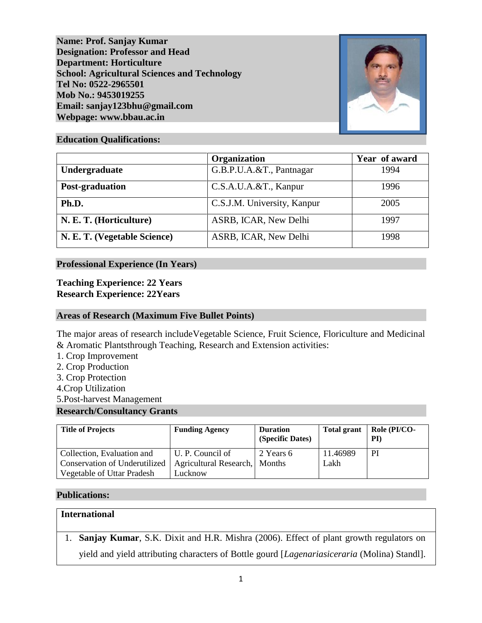**Name: Prof. Sanjay Kumar Designation: Professor and Head Department: Horticulture School: Agricultural Sciences and Technology Tel No: 0522-2965501 Mob No.: 9453019255 Email: sanjay123bhu@gmail.com Webpage: www.bbau.ac.in**



### **Education Qualifications:**

|                              | Organization                | Year of award |
|------------------------------|-----------------------------|---------------|
| Undergraduate                | G.B.P.U.A.&T., Pantnagar    | 1994          |
| Post-graduation              | C.S.A.U.A.&T., Kanpur       | 1996          |
| Ph.D.                        | C.S.J.M. University, Kanpur | 2005          |
| N. E. T. (Horticulture)      | ASRB, ICAR, New Delhi       | 1997          |
| N. E. T. (Vegetable Science) | ASRB, ICAR, New Delhi       | 1998          |

## **Professional Experience (In Years)**

**Teaching Experience: 22 Years Research Experience: 22Years**

## **Areas of Research (Maximum Five Bullet Points)**

The major areas of research includeVegetable Science, Fruit Science, Floriculture and Medicinal & Aromatic Plantsthrough Teaching, Research and Extension activities:

- 1. Crop Improvement
- 2. Crop Production
- 3. Crop Protection
- 4.Crop Utilization
- 5.Post-harvest Management

### **Research/Consultancy Grants**

| <b>Title of Projects</b>                                           | <b>Funding Agency</b>                             | <b>Duration</b><br>(Specific Dates) | <b>Total grant</b> | Role (PI/CO-<br>PI) |
|--------------------------------------------------------------------|---------------------------------------------------|-------------------------------------|--------------------|---------------------|
| Collection, Evaluation and<br><b>Conservation of Underutilized</b> | U. P. Council of<br>Agricultural Research, Months | 2 Years 6                           | 11.46989<br>Lakh   | PI                  |
| <b>Vegetable of Uttar Pradesh</b>                                  | Lucknow                                           |                                     |                    |                     |

## **Publications:**

## **International**

1. **Sanjay Kumar**, S.K. Dixit and H.R. Mishra (2006). Effect of plant growth regulators on yield and yield attributing characters of Bottle gourd [*Lagenariasiceraria* (Molina) Standl].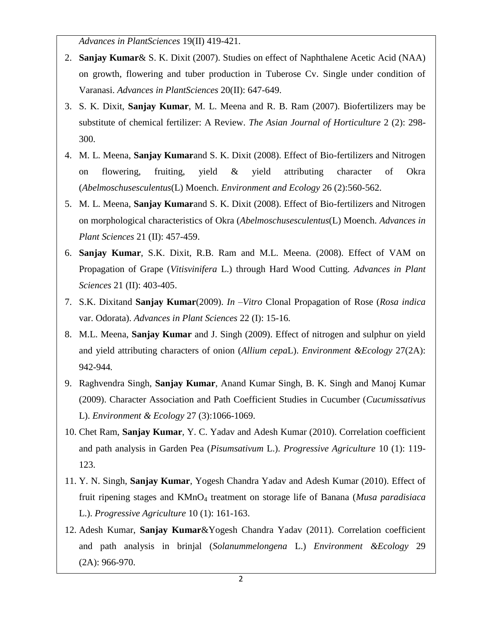*Advances in PlantSciences* 19(II) 419-421.

- 2. **Sanjay Kumar**& S. K. Dixit (2007). Studies on effect of Naphthalene Acetic Acid (NAA) on growth, flowering and tuber production in Tuberose Cv. Single under condition of Varanasi. *Advances in PlantSciences* 20(II): 647-649.
- 3. S. K. Dixit, **Sanjay Kumar**, M. L. Meena and R. B. Ram (2007). Biofertilizers may be substitute of chemical fertilizer: A Review. *The Asian Journal of Horticulture* 2 (2): 298- 300.
- 4. M. L. Meena, **Sanjay Kumar**and S. K. Dixit (2008). Effect of Bio-fertilizers and Nitrogen on flowering, fruiting, yield & yield attributing character of Okra (*Abelmoschusesculentus*(L) Moench. *Environment and Ecology* 26 (2):560-562.
- 5. M. L. Meena, **Sanjay Kumar**and S. K. Dixit (2008). Effect of Bio-fertilizers and Nitrogen on morphological characteristics of Okra (*Abelmoschusesculentus*(L) Moench. *Advances in Plant Sciences* 21 (II): 457-459.
- 6. **Sanjay Kumar**, S.K. Dixit, R.B. Ram and M.L. Meena. (2008). Effect of VAM on Propagation of Grape (*Vitisvinifera* L.) through Hard Wood Cutting. *Advances in Plant Sciences* 21 (II): 403-405.
- 7. S.K. Dixitand **Sanjay Kumar**(2009). *In –Vitro* Clonal Propagation of Rose (*Rosa indica* var. Odorata). *Advances in Plant Sciences* 22 (I): 15-16*.*
- 8. M.L. Meena, **Sanjay Kumar** and J. Singh (2009). Effect of nitrogen and sulphur on yield and yield attributing characters of onion (*Allium cepa*L). *Environment &Ecology* 27(2A): 942-944*.*
- 9. Raghvendra Singh, **Sanjay Kumar**, Anand Kumar Singh, B. K. Singh and Manoj Kumar (2009). Character Association and Path Coefficient Studies in Cucumber (*Cucumissativus* L). *Environment & Ecology* 27 (3):1066-1069.
- 10. Chet Ram, **Sanjay Kumar**, Y. C. Yadav and Adesh Kumar (2010). Correlation coefficient and path analysis in Garden Pea (*Pisumsativum* L.). *Progressive Agriculture* 10 (1): 119- 123.
- 11. Y. N. Singh, **Sanjay Kumar**, Yogesh Chandra Yadav and Adesh Kumar (2010). Effect of fruit ripening stages and KMnO<sup>4</sup> treatment on storage life of Banana (*Musa paradisiaca* L.). *Progressive Agriculture* 10 (1): 161-163.
- 12. Adesh Kumar, **Sanjay Kumar**&Yogesh Chandra Yadav (2011). Correlation coefficient and path analysis in brinjal (*Solanummelongena* L.) *Environment &Ecology* 29 (2A): 966-970.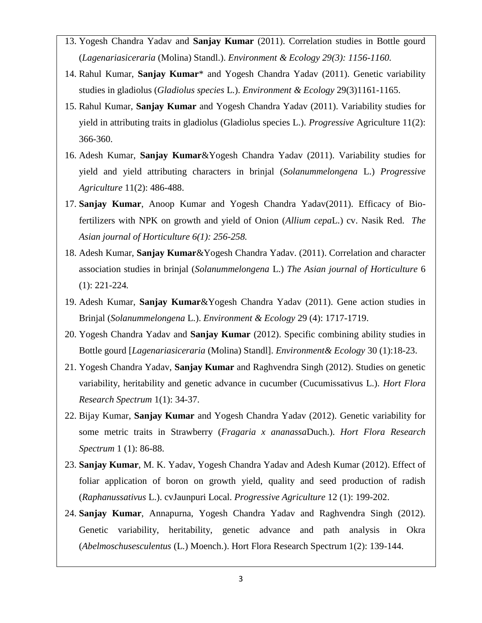- 13. Yogesh Chandra Yadav and **Sanjay Kumar** (2011). Correlation studies in Bottle gourd (*Lagenariasiceraria* (Molina) Standl.). *Environment & Ecology 29(3): 1156-1160.*
- 14. Rahul Kumar, **Sanjay Kumar**\* and Yogesh Chandra Yadav (2011). Genetic variability studies in gladiolus (*Gladiolus species* L.). *Environment & Ecology* 29(3)1161-1165.
- 15. Rahul Kumar, **Sanjay Kumar** and Yogesh Chandra Yadav (2011). Variability studies for yield in attributing traits in gladiolus (Gladiolus species L.). *Progressive* Agriculture 11(2): 366-360.
- 16. Adesh Kumar, **Sanjay Kumar**&Yogesh Chandra Yadav (2011). Variability studies for yield and yield attributing characters in brinjal (*Solanummelongena* L.) *Progressive Agriculture* 11(2): 486-488.
- 17. **Sanjay Kumar**, Anoop Kumar and Yogesh Chandra Yadav(2011). Efficacy of Biofertilizers with NPK on growth and yield of Onion (*Allium cepa*L.) cv. Nasik Red. *The Asian journal of Horticulture 6(1): 256-258.*
- 18. Adesh Kumar, **Sanjay Kumar**&Yogesh Chandra Yadav. (2011). Correlation and character association studies in brinjal (*Solanummelongena* L.) *The Asian journal of Horticulture* 6 (1): 221-224*.*
- 19. Adesh Kumar, **Sanjay Kumar**&Yogesh Chandra Yadav (2011). Gene action studies in Brinjal (*Solanummelongena* L.). *Environment & Ecology* 29 (4): 1717-1719.
- 20. Yogesh Chandra Yadav and **Sanjay Kumar** (2012). Specific combining ability studies in Bottle gourd [*Lagenariasiceraria* (Molina) Standl]. *Environment& Ecology* 30 (1):18-23.
- 21. Yogesh Chandra Yadav, **Sanjay Kumar** and Raghvendra Singh (2012). Studies on genetic variability, heritability and genetic advance in cucumber (Cucumissativus L.). *Hort Flora Research Spectrum* 1(1): 34-37.
- 22. Bijay Kumar, **Sanjay Kumar** and Yogesh Chandra Yadav (2012). Genetic variability for some metric traits in Strawberry (*Fragaria x ananassa*Duch.). *Hort Flora Research Spectrum* 1 (1): 86-88.
- 23. **Sanjay Kumar**, M. K. Yadav, Yogesh Chandra Yadav and Adesh Kumar (2012). Effect of foliar application of boron on growth yield, quality and seed production of radish (*Raphanussativus* L.). cvJaunpuri Local. *Progressive Agriculture* 12 (1): 199-202.
- 24. **Sanjay Kumar**, Annapurna, Yogesh Chandra Yadav and Raghvendra Singh (2012). Genetic variability, heritability, genetic advance and path analysis in Okra (*Abelmoschusesculentus* (L.) Moench.). Hort Flora Research Spectrum 1(2): 139-144.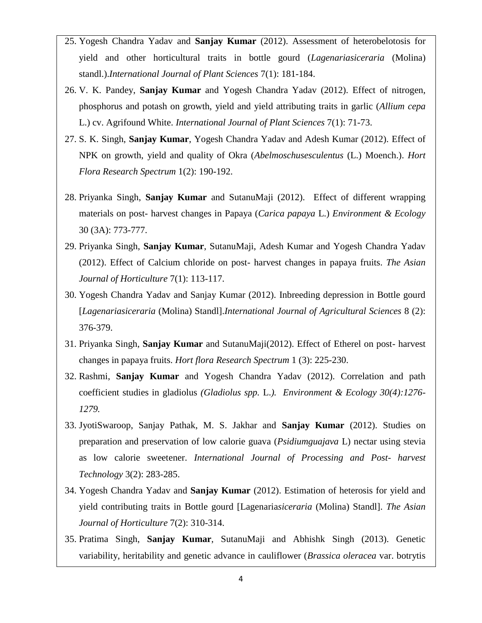- 25. Yogesh Chandra Yadav and **Sanjay Kumar** (2012). Assessment of heterobelotosis for yield and other horticultural traits in bottle gourd (*Lagenariasiceraria* (Molina) standl.).*International Journal of Plant Sciences* 7(1): 181-184.
- 26. V. K. Pandey, **Sanjay Kumar** and Yogesh Chandra Yadav (2012). Effect of nitrogen, phosphorus and potash on growth, yield and yield attributing traits in garlic (*Allium cepa* L.) cv. Agrifound White. *International Journal of Plant Sciences* 7(1): 71-73.
- 27. S. K. Singh, **Sanjay Kumar**, Yogesh Chandra Yadav and Adesh Kumar (2012). Effect of NPK on growth, yield and quality of Okra (*Abelmoschusesculentus* (L.) Moench.). *Hort Flora Research Spectrum* 1(2): 190-192.
- 28. Priyanka Singh, **Sanjay Kumar** and SutanuMaji (2012). Effect of different wrapping materials on post- harvest changes in Papaya (*Carica papaya* L.) *Environment & Ecology*  30 (3A): 773-777.
- 29. Priyanka Singh, **Sanjay Kumar**, SutanuMaji, Adesh Kumar and Yogesh Chandra Yadav (2012). Effect of Calcium chloride on post- harvest changes in papaya fruits. *The Asian Journal of Horticulture* 7(1): 113-117.
- 30. Yogesh Chandra Yadav and Sanjay Kumar (2012). Inbreeding depression in Bottle gourd [*Lagenariasiceraria* (Molina) Standl].*International Journal of Agricultural Sciences* 8 (2): 376-379.
- 31. Priyanka Singh, **Sanjay Kumar** and SutanuMaji(2012). Effect of Etherel on post- harvest changes in papaya fruits. *Hort flora Research Spectrum* 1 (3): 225-230.
- 32. Rashmi, **Sanjay Kumar** and Yogesh Chandra Yadav (2012). Correlation and path coefficient studies in gladiolus *(Gladiolus spp.* L.*). Environment & Ecology 30(4):1276- 1279.*
- 33. JyotiSwaroop, Sanjay Pathak, M. S. Jakhar and **Sanjay Kumar** (2012). Studies on preparation and preservation of low calorie guava (*Psidiumguajava* L) nectar using stevia as low calorie sweetener. *International Journal of Processing and Post- harvest Technology* 3(2): 283-285.
- 34. Yogesh Chandra Yadav and **Sanjay Kumar** (2012). Estimation of heterosis for yield and yield contributing traits in Bottle gourd [Lagenaria*siceraria* (Molina) Standl]. *The Asian Journal of Horticulture* 7(2): 310-314.
- 35. Pratima Singh, **Sanjay Kumar**, SutanuMaji and Abhishk Singh (2013). Genetic variability, heritability and genetic advance in cauliflower (*Brassica oleracea* var. botrytis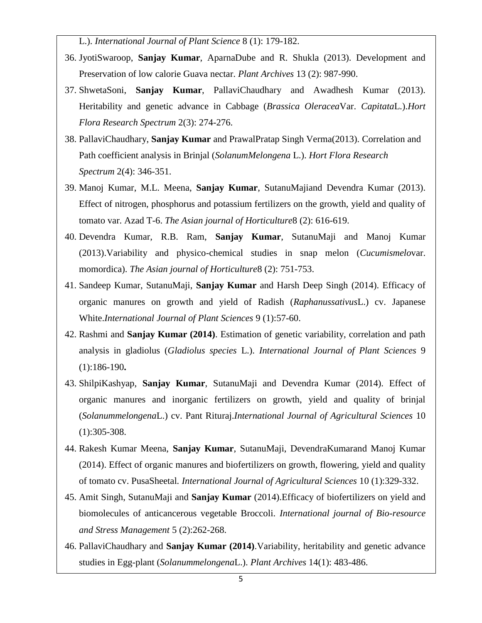L.). *International Journal of Plant Science* 8 (1): 179-182.

- 36. JyotiSwaroop, **Sanjay Kumar**, AparnaDube and R. Shukla (2013). Development and Preservation of low calorie Guava nectar. *Plant Archives* 13 (2): 987-990.
- 37. ShwetaSoni, **Sanjay Kumar**, PallaviChaudhary and Awadhesh Kumar (2013). Heritability and genetic advance in Cabbage (*Brassica Oleracea*Var. *Capitata*L.).*Hort Flora Research Spectrum* 2(3): 274-276.
- 38. PallaviChaudhary, **Sanjay Kumar** and PrawalPratap Singh Verma(2013). Correlation and Path coefficient analysis in Brinjal (*SolanumMelongena* L.). *Hort Flora Research Spectrum* 2(4): 346-351.
- 39. Manoj Kumar, M.L. Meena, **Sanjay Kumar**, SutanuMajiand Devendra Kumar (2013). Effect of nitrogen, phosphorus and potassium fertilizers on the growth, yield and quality of tomato var. Azad T-6. *The Asian journal of Horticulture*8 (2): 616-619.
- 40. Devendra Kumar, R.B. Ram, **Sanjay Kumar**, SutanuMaji and Manoj Kumar (2013).Variability and physico-chemical studies in snap melon (*Cucumismelo*var. momordica). *The Asian journal of Horticulture*8 (2): 751-753.
- 41. Sandeep Kumar, SutanuMaji, **Sanjay Kumar** and Harsh Deep Singh (2014). Efficacy of organic manures on growth and yield of Radish (*Raphanussativus*L.) cv. Japanese White.*International Journal of Plant Sciences* 9 (1):57-60.
- 42. Rashmi and **Sanjay Kumar (2014)**. Estimation of genetic variability, correlation and path analysis in gladiolus (*Gladiolus species* L.). *International Journal of Plant Sciences* 9 (1):186-190**.**
- 43. ShilpiKashyap, **Sanjay Kumar**, SutanuMaji and Devendra Kumar (2014). Effect of organic manures and inorganic fertilizers on growth, yield and quality of brinjal (*Solanummelongena*L.) cv. Pant Rituraj.*International Journal of Agricultural Sciences* 10 (1):305-308.
- 44. Rakesh Kumar Meena, **Sanjay Kumar**, SutanuMaji, DevendraKumarand Manoj Kumar (2014). Effect of organic manures and biofertilizers on growth, flowering, yield and quality of tomato cv. PusaSheetal*. International Journal of Agricultural Sciences* 10 (1):329-332.
- 45. Amit Singh, SutanuMaji and **Sanjay Kumar** (2014).Efficacy of biofertilizers on yield and biomolecules of anticancerous vegetable Broccoli. *International journal of Bio-resource and Stress Management* 5 (2):262-268.
- 46. PallaviChaudhary and **Sanjay Kumar (2014)**.Variability, heritability and genetic advance studies in Egg-plant (*Solanummelongena*L.). *Plant Archives* 14(1): 483-486.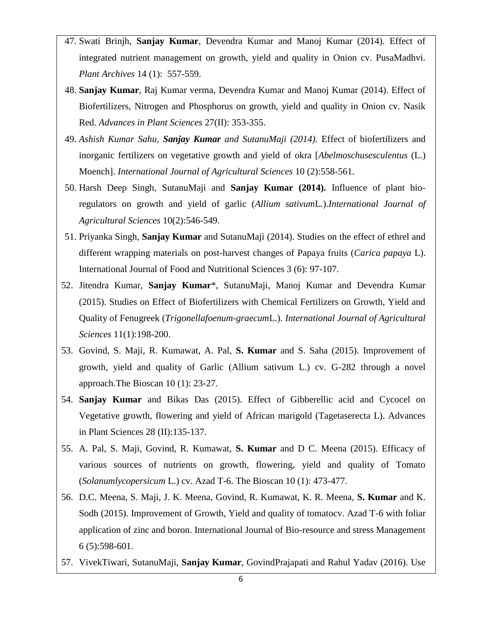- 47. Swati Brinjh, **Sanjay Kumar**, Devendra Kumar and Manoj Kumar (2014). Effect of integrated nutrient management on growth, yield and quality in Onion cv. PusaMadhvi. *Plant Archives* 14 (1): 557-559.
- 48. **Sanjay Kumar**, Raj Kumar verma, Devendra Kumar and Manoj Kumar (2014). Effect of Biofertilizers, Nitrogen and Phosphorus on growth, yield and quality in Onion cv. Nasik Red. *Advances in Plant Sciences* 27(II): 353-355.
- 49. *Ashish Kumar Sahu, Sanjay Kumar and SutanuMaji (2014).* Effect of biofertilizers and inorganic fertilizers on vegetative growth and yield of okra [*Abelmoschusesculentus* (L.) Moench]. *International Journal of Agricultural Sciences* 10 (2):558-561.
- 50. Harsh Deep Singh, SutanuMaji and **Sanjay Kumar (2014).** Influence of plant bioregulators on growth and yield of garlic (*Allium sativum*L.).*International Journal of Agricultural Sciences* 10(2):546-549.
- 51. Priyanka Singh, **Sanjay Kumar** and SutanuMaji (2014). Studies on the effect of ethrel and different wrapping materials on post-harvest changes of Papaya fruits (*Carica papaya* L). International Journal of Food and Nutritional Sciences 3 (6): 97-107.
- 52. Jitendra Kumar, **Sanjay Kumar**\*, SutanuMaji, Manoj Kumar and Devendra Kumar (2015). Studies on Effect of Biofertilizers with Chemical Fertilizers on Growth, Yield and Quality of Fenugreek (*Trigonellafoenum-graecum*L.). *International Journal of Agricultural Sciences* 11(1):198-200.
- 53. Govind, S. Maji, R. Kumawat, A. Pal, **S. Kumar** and S. Saha (2015). Improvement of growth, yield and quality of Garlic (Allium sativum L.) cv. G-282 through a novel approach.The Bioscan 10 (1): 23-27.
- 54. **Sanjay Kumar** and Bikas Das (2015). Effect of Gibberellic acid and Cycocel on Vegetative growth, flowering and yield of African marigold (Tagetaserecta L). Advances in Plant Sciences 28 (II):135-137.
- 55. A. Pal, S. Maji, Govind, R. Kumawat, **S. Kumar** and D C. Meena (2015). Efficacy of various sources of nutrients on growth, flowering, yield and quality of Tomato (*Solanumlycopersicum* L.) cv. Azad T-6. The Bioscan 10 (1): 473-477.
- 56. D.C. Meena, S. Maji, J. K. Meena, Govind, R. Kumawat, K. R. Meena, **S. Kumar** and K. Sodh (2015). Improvement of Growth, Yield and quality of tomatocv. Azad T-6 with foliar application of zinc and boron. International Journal of Bio-resource and stress Management 6 (5):598-601.
- 57. VivekTiwari, SutanuMaji, **Sanjay Kumar**, GovindPrajapati and Rahul Yadav (2016). Use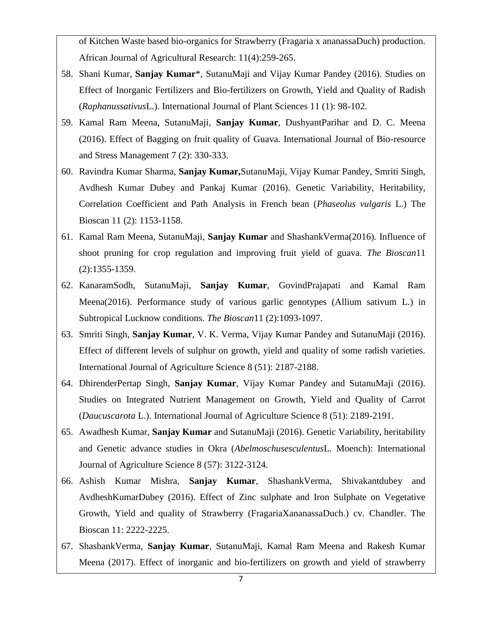of Kitchen Waste based bio-organics for Strawberry (Fragaria x ananassaDuch) production. African Journal of Agricultural Research: 11(4):259-265.

- 58. Shani Kumar, **Sanjay Kumar**\*, SutanuMaji and Vijay Kumar Pandey (2016). Studies on Effect of Inorganic Fertilizers and Bio-fertilizers on Growth, Yield and Quality of Radish (*Raphanussativus*L.). International Journal of Plant Sciences 11 (1): 98-102.
- 59. Kamal Ram Meena, SutanuMaji, **Sanjay Kumar**, DushyantParihar and D. C. Meena (2016). Effect of Bagging on fruit quality of Guava. International Journal of Bio-resource and Stress Management 7 (2): 330-333.
- 60. Ravindra Kumar Sharma, **Sanjay Kumar,**SutanuMaji, Vijay Kumar Pandey, Smriti Singh, Avdhesh Kumar Dubey and Pankaj Kumar (2016). Genetic Variability, Heritability, Correlation Coefficient and Path Analysis in French bean (*Phaseolus vulgaris* L.) The Bioscan 11 (2): 1153-1158.
- 61. Kamal Ram Meena, SutanuMaji, **Sanjay Kumar** and ShashankVerma(2016). Influence of shoot pruning for crop regulation and improving fruit yield of guava. *The Bioscan*11 (2):1355-1359.
- 62. KanaramSodh, SutanuMaji, **Sanjay Kumar**, GovindPrajapati and Kamal Ram Meena(2016). Performance study of various garlic genotypes (Allium sativum L.) in Subtropical Lucknow conditions. *The Bioscan*11 (2):1093-1097.
- 63. Smriti Singh, **Sanjay Kumar**, V. K. Verma, Vijay Kumar Pandey and SutanuMaji (2016). Effect of different levels of sulphur on growth, yield and quality of some radish varieties. International Journal of Agriculture Science 8 (51): 2187-2188.
- 64. DhirenderPertap Singh, **Sanjay Kumar**, Vijay Kumar Pandey and SutanuMaji (2016). Studies on Integrated Nutrient Management on Growth, Yield and Quality of Carrot (*Daucuscarota* L.). International Journal of Agriculture Science 8 (51): 2189-2191.
- 65. Awadhesh Kumar, **Sanjay Kumar** and SutanuMaji (2016). Genetic Variability, heritability and Genetic advance studies in Okra (*Abelmoschusesculentus*L*.* Moench): International Journal of Agriculture Science 8 (57): 3122-3124.
- 66. Ashish Kumar Mishra, **Sanjay Kumar**, ShashankVerma, Shivakantdubey and AvdheshKumarDubey (2016). Effect of Zinc sulphate and Iron Sulphate on Vegetative Growth, Yield and quality of Strawberry (FragariaXananassaDuch.) cv. Chandler. The Bioscan 11: 2222-2225.
- 67. ShashankVerma, **Sanjay Kumar**, SutanuMaji, Kamal Ram Meena and Rakesh Kumar Meena (2017). Effect of inorganic and bio-fertilizers on growth and yield of strawberry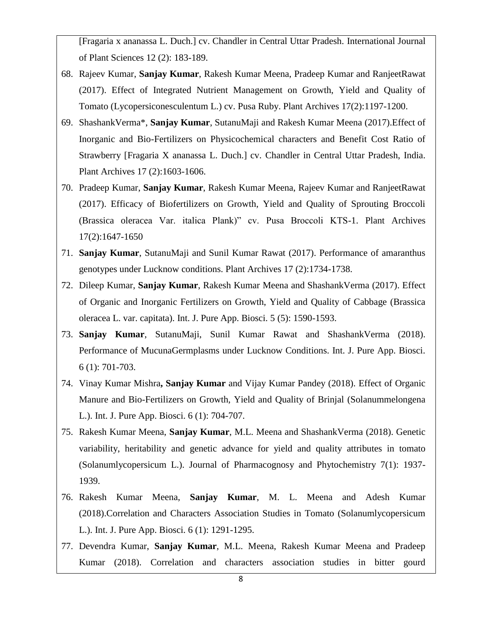[Fragaria x ananassa L. Duch.] cv. Chandler in Central Uttar Pradesh. International Journal of Plant Sciences 12 (2): 183-189.

- 68. Rajeev Kumar, **Sanjay Kumar**, Rakesh Kumar Meena, Pradeep Kumar and RanjeetRawat (2017). Effect of Integrated Nutrient Management on Growth, Yield and Quality of Tomato (Lycopersiconesculentum L.) cv. Pusa Ruby. Plant Archives 17(2):1197-1200.
- 69. ShashankVerma\*, **Sanjay Kumar**, SutanuMaji and Rakesh Kumar Meena (2017).Effect of Inorganic and Bio-Fertilizers on Physicochemical characters and Benefit Cost Ratio of Strawberry [Fragaria X ananassa L. Duch.] cv. Chandler in Central Uttar Pradesh, India. Plant Archives 17 (2):1603-1606.
- 70. Pradeep Kumar, **Sanjay Kumar**, Rakesh Kumar Meena, Rajeev Kumar and RanjeetRawat (2017). Efficacy of Biofertilizers on Growth, Yield and Quality of Sprouting Broccoli (Brassica oleracea Var. italica Plank)" cv. Pusa Broccoli KTS-1. Plant Archives 17(2):1647-1650
- 71. **Sanjay Kumar**, SutanuMaji and Sunil Kumar Rawat (2017). Performance of amaranthus genotypes under Lucknow conditions. Plant Archives 17 (2):1734-1738.
- 72. Dileep Kumar, **Sanjay Kumar**, Rakesh Kumar Meena and ShashankVerma (2017). Effect of Organic and Inorganic Fertilizers on Growth, Yield and Quality of Cabbage (Brassica oleracea L. var. capitata). Int. J. Pure App. Biosci. 5 (5): 1590-1593.
- 73. **Sanjay Kumar**, SutanuMaji, Sunil Kumar Rawat and ShashankVerma (2018). Performance of MucunaGermplasms under Lucknow Conditions. Int. J. Pure App. Biosci. 6 (1): 701-703.
- 74. Vinay Kumar Mishra**, Sanjay Kumar** and Vijay Kumar Pandey (2018). Effect of Organic Manure and Bio-Fertilizers on Growth, Yield and Quality of Brinjal (Solanummelongena L.). Int. J. Pure App. Biosci. 6 (1): 704-707.
- 75. Rakesh Kumar Meena, **Sanjay Kumar**, M.L. Meena and ShashankVerma (2018). Genetic variability, heritability and genetic advance for yield and quality attributes in tomato (Solanumlycopersicum L.). Journal of Pharmacognosy and Phytochemistry 7(1): 1937- 1939.
- 76. Rakesh Kumar Meena, **Sanjay Kumar**, M. L. Meena and Adesh Kumar (2018).Correlation and Characters Association Studies in Tomato (Solanumlycopersicum L.). Int. J. Pure App. Biosci. 6 (1): 1291-1295.
- 77. Devendra Kumar, **Sanjay Kumar**, M.L. Meena, Rakesh Kumar Meena and Pradeep Kumar (2018). Correlation and characters association studies in bitter gourd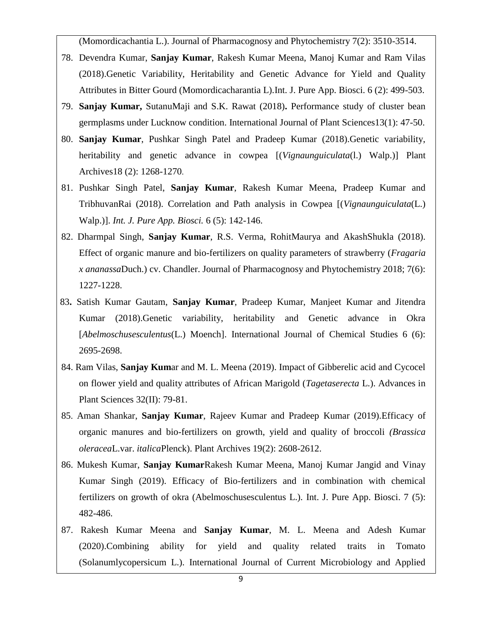(Momordicachantia L.). Journal of Pharmacognosy and Phytochemistry 7(2): 3510-3514.

- 78. Devendra Kumar, **Sanjay Kumar**, Rakesh Kumar Meena, Manoj Kumar and Ram Vilas (2018).Genetic Variability, Heritability and Genetic Advance for Yield and Quality Attributes in Bitter Gourd (Momordicacharantia L).Int. J. Pure App. Biosci. 6 (2): 499-503.
- 79. **Sanjay Kumar,** SutanuMaji and S.K. Rawat (2018)**.** Performance study of cluster bean germplasms under Lucknow condition. International Journal of Plant Sciences13(1): 47-50.
- 80. **Sanjay Kumar**, Pushkar Singh Patel and Pradeep Kumar (2018).Genetic variability, heritability and genetic advance in cowpea [(*Vignaunguiculata*(l.) Walp.)] Plant Archives18 (2): 1268-1270.
- 81. Pushkar Singh Patel, **Sanjay Kumar**, Rakesh Kumar Meena, Pradeep Kumar and TribhuvanRai (2018). Correlation and Path analysis in Cowpea [(*Vignaunguiculata*(L.) Walp.)]. *Int. J. Pure App. Biosci.* 6 (5): 142-146.
- 82. Dharmpal Singh, **Sanjay Kumar**, R.S. Verma, RohitMaurya and AkashShukla (2018). Effect of organic manure and bio-fertilizers on quality parameters of strawberry (*Fragaria x ananassa*Duch.) cv. Chandler. Journal of Pharmacognosy and Phytochemistry 2018; 7(6): 1227-1228.
- 83**.** Satish Kumar Gautam, **Sanjay Kumar**, Pradeep Kumar, Manjeet Kumar and Jitendra Kumar (2018).Genetic variability, heritability and Genetic advance in Okra [*Abelmoschusesculentus*(L.) Moench]. International Journal of Chemical Studies 6 (6): 2695-2698.
- 84. Ram Vilas, **Sanjay Kum**ar and M. L. Meena (2019). Impact of Gibberelic acid and Cycocel on flower yield and quality attributes of African Marigold (*Tagetaserecta* L.). Advances in Plant Sciences 32(II): 79-81.
- 85. Aman Shankar, **Sanjay Kumar**, Rajeev Kumar and Pradeep Kumar (2019).Efficacy of organic manures and bio-fertilizers on growth, yield and quality of broccoli *(Brassica oleracea*L.var. *italica*Plenck). Plant Archives 19(2): 2608-2612.
- 86. Mukesh Kumar, **Sanjay Kumar**Rakesh Kumar Meena, Manoj Kumar Jangid and Vinay Kumar Singh (2019). Efficacy of Bio-fertilizers and in combination with chemical fertilizers on growth of okra (Abelmoschusesculentus L.). Int. J. Pure App. Biosci. 7 (5): 482-486.
- 87. Rakesh Kumar Meena and **Sanjay Kumar**, M. L. Meena and Adesh Kumar (2020).Combining ability for yield and quality related traits in Tomato (Solanumlycopersicum L.). International Journal of Current Microbiology and Applied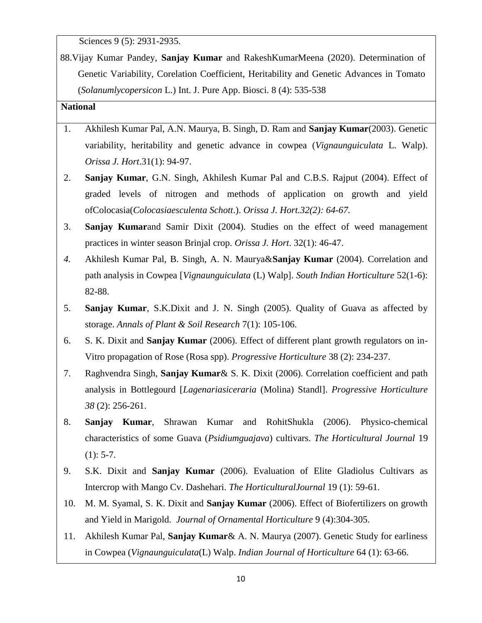Sciences 9 (5): 2931-2935.

88.Vijay Kumar Pandey, **Sanjay Kumar** and RakeshKumarMeena (2020). Determination of Genetic Variability, Corelation Coefficient, Heritability and Genetic Advances in Tomato (*Solanumlycopersicon* L.) Int. J. Pure App. Biosci. 8 (4): 535-538

### **National**

- 1. Akhilesh Kumar Pal, A.N. Maurya, B. Singh, D. Ram and **Sanjay Kumar**(2003). Genetic variability, heritability and genetic advance in cowpea (*Vignaunguiculata* L. Walp). *Orissa J. Hort*.31(1): 94-97.
- 2. **Sanjay Kumar**, G.N. Singh, Akhilesh Kumar Pal and C.B.S. Rajput (2004). Effect of graded levels of nitrogen and methods of application on growth and yield ofColocasia(*Colocasiaesculenta Schott*.). *Orissa J. Hort.32(2): 64-67.*
- 3. **Sanjay Kumar**and Samir Dixit (2004). Studies on the effect of weed management practices in winter season Brinjal crop. *Orissa J. Hort*. 32(1): 46-47.
- *4.* Akhilesh Kumar Pal, B. Singh, A. N. Maurya&**Sanjay Kumar** (2004). Correlation and path analysis in Cowpea [*Vignaunguiculata* (L) Walp]. *South Indian Horticulture* 52(1-6): 82-88.
- 5. **Sanjay Kumar**, S.K.Dixit and J. N. Singh (2005). Quality of Guava as affected by storage. *Annals of Plant & Soil Research* 7(1): 105-106.
- 6. S. K. Dixit and **Sanjay Kumar** (2006). Effect of different plant growth regulators on in-Vitro propagation of Rose (Rosa spp). *Progressive Horticulture* 38 (2): 234-237.
- 7. Raghvendra Singh, **Sanjay Kumar**& S. K. Dixit (2006). Correlation coefficient and path analysis in Bottlegourd [*Lagenariasiceraria* (Molina) Standl]. *Progressive Horticulture 38* (2): 256-261.
- 8. **Sanjay Kumar**, Shrawan Kumar and RohitShukla (2006). Physico-chemical characteristics of some Guava (*Psidiumguajava*) cultivars. *The Horticultural Journal* 19  $(1): 5-7.$
- 9. S.K. Dixit and **Sanjay Kumar** (2006). Evaluation of Elite Gladiolus Cultivars as Intercrop with Mango Cv. Dashehari. *The HorticulturalJournal* 19 (1): 59-61.
- 10. M. M. Syamal, S. K. Dixit and **Sanjay Kumar** (2006). Effect of Biofertilizers on growth and Yield in Marigold. *Journal of Ornamental Horticulture* 9 (4):304-305.
- 11. Akhilesh Kumar Pal, **Sanjay Kumar**& A. N. Maurya (2007). Genetic Study for earliness in Cowpea (*Vignaunguiculata*(L) Walp. *Indian Journal of Horticulture* 64 (1): 63-66.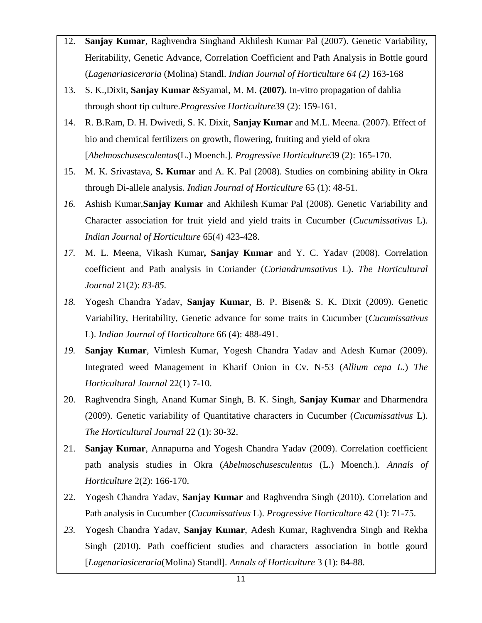- 12. **Sanjay Kumar**, Raghvendra Singhand Akhilesh Kumar Pal (2007). Genetic Variability, Heritability, Genetic Advance, Correlation Coefficient and Path Analysis in Bottle gourd (*Lagenariasiceraria* (Molina) Standl. *Indian Journal of Horticulture 64 (2)* 163-168
- 13. S. K.,Dixit, **Sanjay Kumar** &Syamal, M. M. **(2007).** In-vitro propagation of dahlia through shoot tip culture.*Progressive Horticulture*39 (2): 159-161.
- 14. R. B.Ram, D. H. Dwivedi, S. K. Dixit, **Sanjay Kumar** and M.L. Meena. (2007). Effect of bio and chemical fertilizers on growth, flowering, fruiting and yield of okra [*Abelmoschusesculentus*(L.) Moench.]. *Progressive Horticulture*39 (2): 165-170.
- 15. M. K. Srivastava, **S. Kumar** and A. K. Pal (2008). Studies on combining ability in Okra through Di-allele analysis. *Indian Journal of Horticulture* 65 (1): 48-51.
- *16.* Ashish Kumar,**Sanjay Kumar** and Akhilesh Kumar Pal (2008). Genetic Variability and Character association for fruit yield and yield traits in Cucumber (*Cucumissativus* L). *Indian Journal of Horticulture* 65(4) 423-428.
- *17.* M. L. Meena, Vikash Kumar**, Sanjay Kumar** and Y. C. Yadav (2008). Correlation coefficient and Path analysis in Coriander (*Coriandrumsativus* L). *The Horticultural Journal* 21(2): *83-85.*
- *18.* Yogesh Chandra Yadav, **Sanjay Kumar**, B. P. Bisen& S. K. Dixit (2009). Genetic Variability, Heritability, Genetic advance for some traits in Cucumber (*Cucumissativus* L). *Indian Journal of Horticulture* 66 (4): 488-491.
- *19.* **Sanjay Kumar**, Vimlesh Kumar, Yogesh Chandra Yadav and Adesh Kumar (2009). Integrated weed Management in Kharif Onion in Cv. N-53 (*Allium cepa L.*) *The Horticultural Journal* 22(1) 7-10.
- 20. Raghvendra Singh, Anand Kumar Singh, B. K. Singh, **Sanjay Kumar** and Dharmendra (2009). Genetic variability of Quantitative characters in Cucumber (*Cucumissativus* L). *The Horticultural Journal* 22 (1): 30-32.
- 21. **Sanjay Kumar**, Annapurna and Yogesh Chandra Yadav (2009). Correlation coefficient path analysis studies in Okra (*Abelmoschusesculentus* (L.) Moench.). *Annals of Horticulture* 2(2): 166-170.
- 22. Yogesh Chandra Yadav, **Sanjay Kumar** and Raghvendra Singh (2010). Correlation and Path analysis in Cucumber (*Cucumissativus* L). *Progressive Horticulture* 42 (1): 71-75.
- *23.* Yogesh Chandra Yadav, **Sanjay Kumar**, Adesh Kumar, Raghvendra Singh and Rekha Singh (2010). Path coefficient studies and characters association in bottle gourd [*Lagenariasiceraria*(Molina) Standl]. *Annals of Horticulture* 3 (1): 84-88.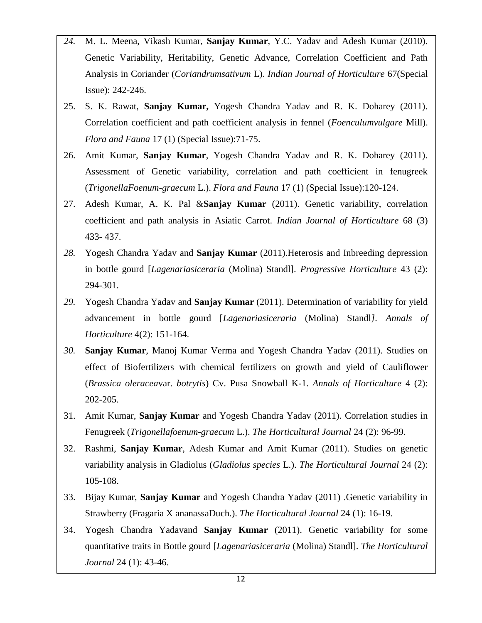- *24.* M. L. Meena, Vikash Kumar, **Sanjay Kumar**, Y.C. Yadav and Adesh Kumar (2010). Genetic Variability, Heritability, Genetic Advance, Correlation Coefficient and Path Analysis in Coriander (*Coriandrumsativum* L). *Indian Journal of Horticulture* 67(Special Issue): 242-246.
- 25. S. K. Rawat, **Sanjay Kumar,** Yogesh Chandra Yadav and R. K. Doharey (2011). Correlation coefficient and path coefficient analysis in fennel (*Foenculumvulgare* Mill). *Flora and Fauna* 17 (1) (Special Issue):71-75.
- 26. Amit Kumar, **Sanjay Kumar**, Yogesh Chandra Yadav and R. K. Doharey (2011). Assessment of Genetic variability, correlation and path coefficient in fenugreek (*TrigonellaFoenum-graecum* L.). *Flora and Fauna* 17 (1) (Special Issue):120-124.
- 27. Adesh Kumar, A. K. Pal &**Sanjay Kumar** (2011). Genetic variability, correlation coefficient and path analysis in Asiatic Carrot. *Indian Journal of Horticulture* 68 (3) 433- 437.
- *28.* Yogesh Chandra Yadav and **Sanjay Kumar** (2011).Heterosis and Inbreeding depression in bottle gourd [*Lagenariasiceraria* (Molina) Standl]. *Progressive Horticulture* 43 (2): 294-301.
- *29.* Yogesh Chandra Yadav and **Sanjay Kumar** (2011). Determination of variability for yield advancement in bottle gourd [*Lagenariasiceraria* (Molina) Standl*]. Annals of Horticulture* 4(2): 151-164.
- *30.* **Sanjay Kumar**, Manoj Kumar Verma and Yogesh Chandra Yadav (2011). Studies on effect of Biofertilizers with chemical fertilizers on growth and yield of Cauliflower (*Brassica oleracea*var. *botrytis*) Cv. Pusa Snowball K-1. *Annals of Horticulture* 4 (2): 202-205.
- 31. Amit Kumar, **Sanjay Kumar** and Yogesh Chandra Yadav (2011). Correlation studies in Fenugreek (*Trigonellafoenum-graecum* L.). *The Horticultural Journal* 24 (2): 96-99.
- 32. Rashmi, **Sanjay Kumar**, Adesh Kumar and Amit Kumar (2011). Studies on genetic variability analysis in Gladiolus (*Gladiolus species* L.). *The Horticultural Journal* 24 (2): 105-108.
- 33. Bijay Kumar, **Sanjay Kumar** and Yogesh Chandra Yadav (2011) .Genetic variability in Strawberry (Fragaria X ananassaDuch.). *The Horticultural Journal* 24 (1): 16-19.
- 34. Yogesh Chandra Yadavand **Sanjay Kumar** (2011). Genetic variability for some quantitative traits in Bottle gourd [*Lagenariasiceraria* (Molina) Standl]. *The Horticultural Journal* 24 (1): 43-46.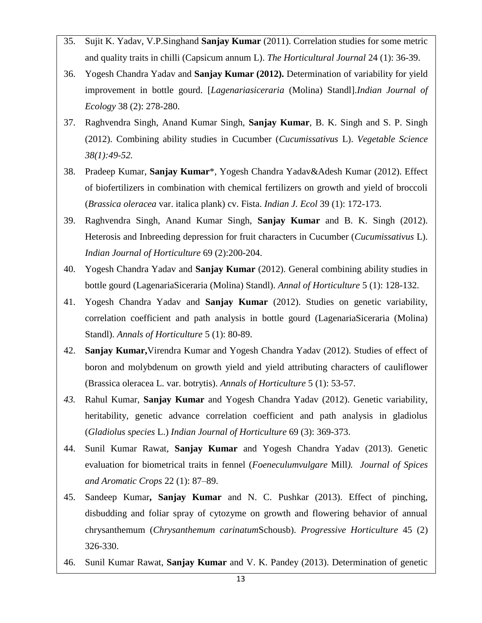- 35. Sujit K. Yadav, V.P.Singhand **Sanjay Kumar** (2011). Correlation studies for some metric and quality traits in chilli (Capsicum annum L). *The Horticultural Journal* 24 (1): 36-39.
- 36. Yogesh Chandra Yadav and **Sanjay Kumar (2012).** Determination of variability for yield improvement in bottle gourd. [*Lagenariasiceraria* (Molina) Standl].*Indian Journal of Ecology* 38 (2): 278-280.
- 37. Raghvendra Singh, Anand Kumar Singh, **Sanjay Kumar**, B. K. Singh and S. P. Singh (2012). Combining ability studies in Cucumber (*Cucumissativus* L). *Vegetable Science 38(1):49-52.*
- 38. Pradeep Kumar, **Sanjay Kumar**\*, Yogesh Chandra Yadav&Adesh Kumar (2012). Effect of biofertilizers in combination with chemical fertilizers on growth and yield of broccoli (*Brassica oleracea* var. italica plank) cv. Fista. *Indian J. Ecol* 39 (1): 172-173.
- 39. Raghvendra Singh, Anand Kumar Singh, **Sanjay Kumar** and B. K. Singh (2012). Heterosis and Inbreeding depression for fruit characters in Cucumber (*Cucumissativus* L). *Indian Journal of Horticulture* 69 (2):200-204.
- 40. Yogesh Chandra Yadav and **Sanjay Kumar** (2012). General combining ability studies in bottle gourd (LagenariaSiceraria (Molina) Standl). *Annal of Horticulture* 5 (1): 128-132.
- 41. Yogesh Chandra Yadav and **Sanjay Kumar** (2012). Studies on genetic variability, correlation coefficient and path analysis in bottle gourd (LagenariaSiceraria (Molina) Standl). *Annals of Horticulture* 5 (1): 80-89.
- 42. **Sanjay Kumar,**Virendra Kumar and Yogesh Chandra Yadav (2012). Studies of effect of boron and molybdenum on growth yield and yield attributing characters of cauliflower (Brassica oleracea L. var. botrytis). *Annals of Horticulture* 5 (1): 53-57.
- *43.* Rahul Kumar, **Sanjay Kumar** and Yogesh Chandra Yadav (2012). Genetic variability, heritability, genetic advance correlation coefficient and path analysis in gladiolus (*Gladiolus species* L.) *Indian Journal of Horticulture* 69 (3): 369-373.
- 44. Sunil Kumar Rawat, **Sanjay Kumar** and Yogesh Chandra Yadav (2013). Genetic evaluation for biometrical traits in fennel (*Foeneculumvulgare* Mill*). Journal of Spices and Aromatic Crops* 22 (1): 87–89.
- 45. Sandeep Kumar**, Sanjay Kumar** and N. C. Pushkar (2013). Effect of pinching, disbudding and foliar spray of cytozyme on growth and flowering behavior of annual chrysanthemum (*Chrysanthemum carinatum*Schousb). *Progressive Horticulture* 45 (2) 326-330.
- 46. Sunil Kumar Rawat, **Sanjay Kumar** and V. K. Pandey (2013). Determination of genetic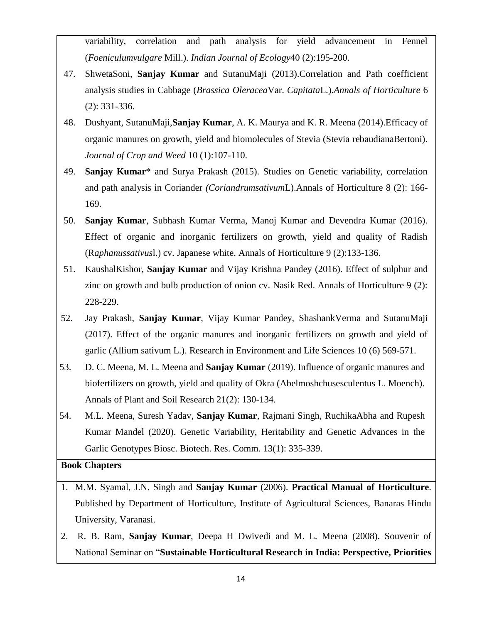variability, correlation and path analysis for yield advancement in Fennel (*Foeniculumvulgare* Mill.). *Indian Journal of Ecology*40 (2):195-200.

- 47. ShwetaSoni, **Sanjay Kumar** and SutanuMaji (2013).Correlation and Path coefficient analysis studies in Cabbage (*Brassica Oleracea*Var. *Capitata*L.).*Annals of Horticulture* 6 (2): 331-336.
- 48. Dushyant, SutanuMaji,**Sanjay Kumar**, A. K. Maurya and K. R. Meena (2014).Efficacy of organic manures on growth, yield and biomolecules of Stevia (Stevia rebaudianaBertoni). *Journal of Crop and Weed* 10 (1):107-110.
- 49. **Sanjay Kumar**\* and Surya Prakash (2015). Studies on Genetic variability, correlation and path analysis in Coriander *(Coriandrumsativum*L).Annals of Horticulture 8 (2): 166- 169.
- 50. **Sanjay Kumar**, Subhash Kumar Verma, Manoj Kumar and Devendra Kumar (2016). Effect of organic and inorganic fertilizers on growth, yield and quality of Radish (R*aphanussativus*l.) cv. Japanese white. Annals of Horticulture 9 (2):133-136.
- 51. KaushalKishor, **Sanjay Kumar** and Vijay Krishna Pandey (2016). Effect of sulphur and zinc on growth and bulb production of onion cv. Nasik Red. Annals of Horticulture 9 (2): 228-229.
- 52. Jay Prakash, **Sanjay Kumar**, Vijay Kumar Pandey, ShashankVerma and SutanuMaji (2017). Effect of the organic manures and inorganic fertilizers on growth and yield of garlic (Allium sativum L.). Research in Environment and Life Sciences 10 (6) 569-571.
- 53. D. C. Meena, M. L. Meena and **Sanjay Kumar** (2019). Influence of organic manures and biofertilizers on growth, yield and quality of Okra (Abelmoshchusesculentus L. Moench). Annals of Plant and Soil Research 21(2): 130-134.
- 54. M.L. Meena, Suresh Yadav, **Sanjay Kumar**, Rajmani Singh, RuchikaAbha and Rupesh Kumar Mandel (2020). Genetic Variability, Heritability and Genetic Advances in the Garlic Genotypes Biosc. Biotech. Res. Comm. 13(1): 335-339.

## **Book Chapters**

- 1. M.M. Syamal, J.N. Singh and **Sanjay Kumar** (2006). **Practical Manual of Horticulture**. Published by Department of Horticulture, Institute of Agricultural Sciences, Banaras Hindu University, Varanasi.
- 2. R. B. Ram, **Sanjay Kumar**, Deepa H Dwivedi and M. L. Meena (2008). Souvenir of National Seminar on "**Sustainable Horticultural Research in India: Perspective, Priorities**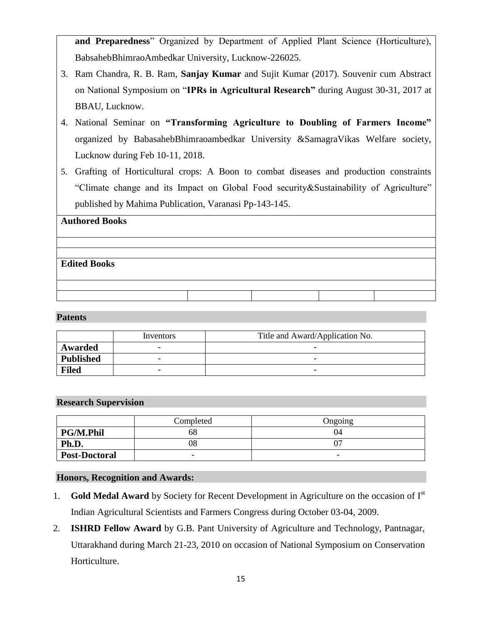**and Preparedness**" Organized by Department of Applied Plant Science (Horticulture), BabsahebBhimraoAmbedkar University, Lucknow-226025.

- 3. Ram Chandra, R. B. Ram, **Sanjay Kumar** and Sujit Kumar (2017). Souvenir cum Abstract on National Symposium on "**IPRs in Agricultural Research"** during August 30-31, 2017 at BBAU, Lucknow.
- 4. National Seminar on **"Transforming Agriculture to Doubling of Farmers Income"** organized by BabasahebBhimraoambedkar University &SamagraVikas Welfare society, Lucknow during Feb 10-11, 2018.
- 5. Grafting of Horticultural crops: A Boon to combat diseases and production constraints "Climate change and its Impact on Global Food security&Sustainability of Agriculture" published by Mahima Publication, Varanasi Pp-143-145.

# **Authored Books**

# **Edited Books**

### **Patents**

|                  | Inventors | Title and Award/Application No. |
|------------------|-----------|---------------------------------|
| Awarded          |           |                                 |
| <b>Published</b> |           | -                               |
| <b>Filed</b>     | -         | $\overline{\phantom{0}}$        |

### **Research Supervision**

|                      | Completed | Ongoing |
|----------------------|-----------|---------|
| <b>PG/M.Phil</b>     | ხŏ        | 04      |
| Ph.D.                | 08        |         |
| <b>Post-Doctoral</b> | -         | -       |

## **Honors, Recognition and Awards:**

- 1. **Gold Medal Award** by Society for Recent Development in Agriculture on the occasion of I<sup>st</sup> Indian Agricultural Scientists and Farmers Congress during October 03-04, 2009.
- 2. **ISHRD Fellow Award** by G.B. Pant University of Agriculture and Technology, Pantnagar, Uttarakhand during March 21-23, 2010 on occasion of National Symposium on Conservation Horticulture.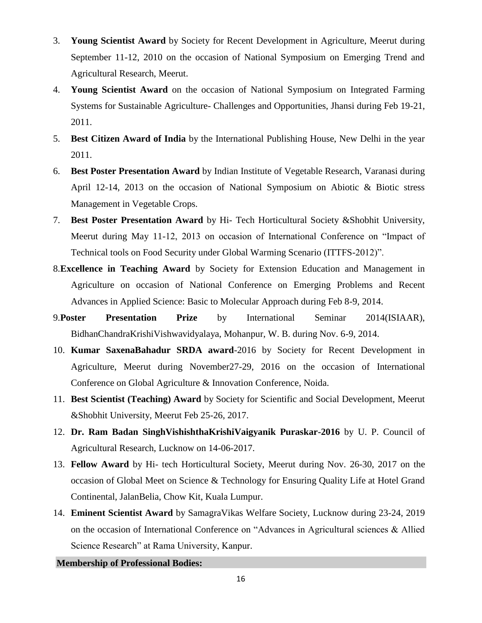- 3. **Young Scientist Award** by Society for Recent Development in Agriculture, Meerut during September 11-12, 2010 on the occasion of National Symposium on Emerging Trend and Agricultural Research, Meerut.
- 4. **Young Scientist Award** on the occasion of National Symposium on Integrated Farming Systems for Sustainable Agriculture- Challenges and Opportunities, Jhansi during Feb 19-21, 2011.
- 5. **Best Citizen Award of India** by the International Publishing House, New Delhi in the year 2011.
- 6. **Best Poster Presentation Award** by Indian Institute of Vegetable Research, Varanasi during April 12-14, 2013 on the occasion of National Symposium on Abiotic & Biotic stress Management in Vegetable Crops.
- 7. **Best Poster Presentation Award** by Hi- Tech Horticultural Society &Shobhit University, Meerut during May 11-12, 2013 on occasion of International Conference on "Impact of Technical tools on Food Security under Global Warming Scenario (ITTFS-2012)".
- 8.**Excellence in Teaching Award** by Society for Extension Education and Management in Agriculture on occasion of National Conference on Emerging Problems and Recent Advances in Applied Science: Basic to Molecular Approach during Feb 8-9, 2014.
- 9.**Poster Presentation Prize** by International Seminar 2014(ISIAAR), BidhanChandraKrishiVishwavidyalaya, Mohanpur, W. B. during Nov. 6-9, 2014.
- 10. **Kumar SaxenaBahadur SRDA award**-2016 by Society for Recent Development in Agriculture, Meerut during November27-29, 2016 on the occasion of International Conference on Global Agriculture & Innovation Conference, Noida.
- 11. **Best Scientist (Teaching) Award** by Society for Scientific and Social Development, Meerut &Shobhit University, Meerut Feb 25-26, 2017.
- 12. **Dr. Ram Badan SinghVishishthaKrishiVaigyanik Puraskar-2016** by U. P. Council of Agricultural Research, Lucknow on 14-06-2017.
- 13. **Fellow Award** by Hi- tech Horticultural Society, Meerut during Nov. 26-30, 2017 on the occasion of Global Meet on Science & Technology for Ensuring Quality Life at Hotel Grand Continental, JalanBelia, Chow Kit, Kuala Lumpur.
- 14. **Eminent Scientist Award** by SamagraVikas Welfare Society, Lucknow during 23-24, 2019 on the occasion of International Conference on "Advances in Agricultural sciences & Allied Science Research" at Rama University, Kanpur.

**Membership of Professional Bodies:**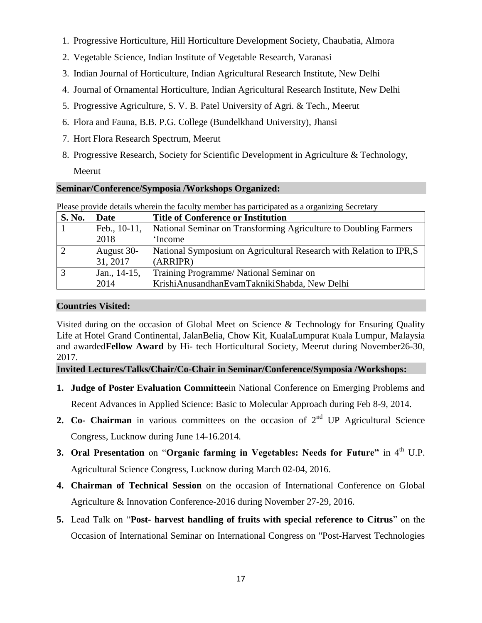- 1. Progressive Horticulture, Hill Horticulture Development Society, Chaubatia, Almora
- 2. Vegetable Science, Indian Institute of Vegetable Research, Varanasi
- 3. Indian Journal of Horticulture, Indian Agricultural Research Institute, New Delhi
- 4. Journal of Ornamental Horticulture, Indian Agricultural Research Institute, New Delhi
- 5. Progressive Agriculture, S. V. B. Patel University of Agri. & Tech., Meerut
- 6. Flora and Fauna, B.B. P.G. College (Bundelkhand University), Jhansi
- 7. Hort Flora Research Spectrum, Meerut
- 8. Progressive Research, Society for Scientific Development in Agriculture & Technology, Meerut

## **Seminar/Conference/Symposia /Workshops Organized:**

| <b>S. No.</b> | Date         | <b>Title of Conference or Institution</b>                           |
|---------------|--------------|---------------------------------------------------------------------|
|               | Feb., 10-11, | National Seminar on Transforming Agriculture to Doubling Farmers    |
|               | 2018         | 'Income                                                             |
|               | August 30-   | National Symposium on Agricultural Research with Relation to IPR, S |
|               | 31, 2017     | (ARRIPR)                                                            |
|               | Jan., 14-15, | Training Programme/National Seminar on                              |
|               | 2014         | KrishiAnusandhanEvamTaknikiShabda, New Delhi                        |

Please provide details wherein the faculty member has participated as a organizing Secretary

## **Countries Visited:**

Visited during on the occasion of Global Meet on Science & Technology for Ensuring Quality Life at Hotel Grand Continental, JalanBelia, Chow Kit, KualaLumpurat Kuala Lumpur, Malaysia and awarded**Fellow Award** by Hi- tech Horticultural Society, Meerut during November26-30, 2017.

**Invited Lectures/Talks/Chair/Co-Chair in Seminar/Conference/Symposia /Workshops:**

- **1. Judge of Poster Evaluation Committee**in National Conference on Emerging Problems and Recent Advances in Applied Science: Basic to Molecular Approach during Feb 8-9, 2014.
- **2. Co- Chairman** in various committees on the occasion of 2<sup>nd</sup> UP Agricultural Science Congress, Lucknow during June 14-16.2014.
- **3. Oral Presentation** on "**Organic farming in Vegetables: Needs for Future**" in 4<sup>th</sup> U.P. Agricultural Science Congress, Lucknow during March 02-04, 2016.
- **4. Chairman of Technical Session** on the occasion of International Conference on Global Agriculture & Innovation Conference-2016 during November 27-29, 2016.
- **5.** Lead Talk on "**Post- harvest handling of fruits with special reference to Citrus**" on the Occasion of International Seminar on International Congress on "Post-Harvest Technologies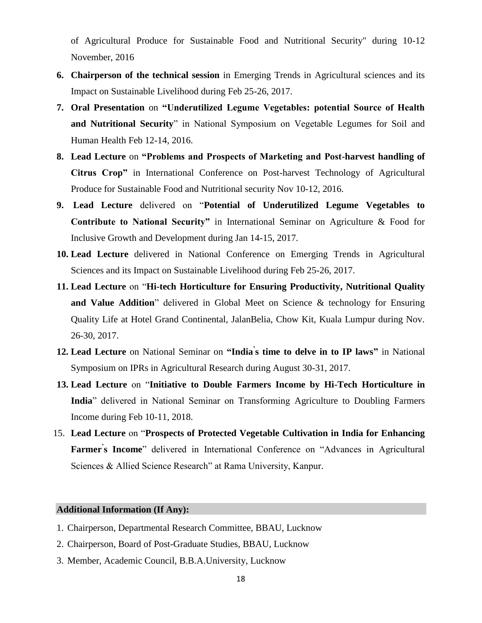of Agricultural Produce for Sustainable Food and Nutritional Security" during 10-12 November, 2016

- **6. Chairperson of the technical session** in Emerging Trends in Agricultural sciences and its Impact on Sustainable Livelihood during Feb 25-26, 2017.
- **7. Oral Presentation** on **"Underutilized Legume Vegetables: potential Source of Health and Nutritional Security**" in National Symposium on Vegetable Legumes for Soil and Human Health Feb 12-14, 2016.
- **8. Lead Lecture** on **"Problems and Prospects of Marketing and Post-harvest handling of Citrus Crop"** in International Conference on Post-harvest Technology of Agricultural Produce for Sustainable Food and Nutritional security Nov 10-12, 2016.
- **9. Lead Lecture** delivered on "**Potential of Underutilized Legume Vegetables to Contribute to National Security"** in International Seminar on Agriculture & Food for Inclusive Growth and Development during Jan 14-15, 2017.
- **10. Lead Lecture** delivered in National Conference on Emerging Trends in Agricultural Sciences and its Impact on Sustainable Livelihood during Feb 25-26, 2017.
- **11. Lead Lecture** on "**Hi-tech Horticulture for Ensuring Productivity, Nutritional Quality and Value Addition**" delivered in Global Meet on Science & technology for Ensuring Quality Life at Hotel Grand Continental, JalanBelia, Chow Kit, Kuala Lumpur during Nov. 26-30, 2017.
- **12. Lead Lecture** on National Seminar on **"India' s time to delve in to IP laws"** in National Symposium on IPRs in Agricultural Research during August 30-31, 2017.
- **13. Lead Lecture** on "**Initiative to Double Farmers Income by Hi-Tech Horticulture in India**" delivered in National Seminar on Transforming Agriculture to Doubling Farmers Income during Feb 10-11, 2018.
- 15. **Lead Lecture** on "**Prospects of Protected Vegetable Cultivation in India for Enhancing Farmer' s Income**" delivered in International Conference on "Advances in Agricultural Sciences & Allied Science Research" at Rama University, Kanpur.

### **Additional Information (If Any):**

- 1. Chairperson, Departmental Research Committee, BBAU, Lucknow
- 2. Chairperson, Board of Post-Graduate Studies, BBAU, Lucknow
- 3. Member, Academic Council, B.B.A.University, Lucknow